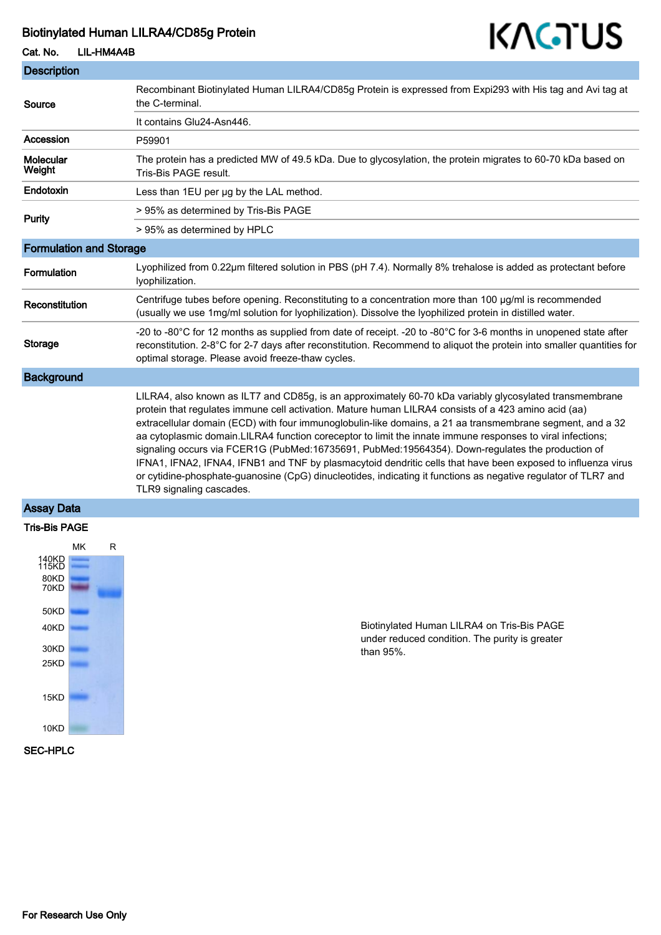### Biotinylated Human LILRA4/CD85g Protein

# Cat. No. LIL-HM4A4B



| <b>Description</b>             |                                                                                                                                                                                                                                                                                                                                                                                                                                                                                                                                                                                                                                                                                                                                                                                                              |
|--------------------------------|--------------------------------------------------------------------------------------------------------------------------------------------------------------------------------------------------------------------------------------------------------------------------------------------------------------------------------------------------------------------------------------------------------------------------------------------------------------------------------------------------------------------------------------------------------------------------------------------------------------------------------------------------------------------------------------------------------------------------------------------------------------------------------------------------------------|
| Source                         | Recombinant Biotinylated Human LILRA4/CD85g Protein is expressed from Expi293 with His tag and Avi tag at<br>the C-terminal.                                                                                                                                                                                                                                                                                                                                                                                                                                                                                                                                                                                                                                                                                 |
|                                | It contains Glu24-Asn446.                                                                                                                                                                                                                                                                                                                                                                                                                                                                                                                                                                                                                                                                                                                                                                                    |
| Accession                      | P59901                                                                                                                                                                                                                                                                                                                                                                                                                                                                                                                                                                                                                                                                                                                                                                                                       |
| <b>Molecular</b><br>Weight     | The protein has a predicted MW of 49.5 kDa. Due to glycosylation, the protein migrates to 60-70 kDa based on<br>Tris-Bis PAGE result.                                                                                                                                                                                                                                                                                                                                                                                                                                                                                                                                                                                                                                                                        |
| Endotoxin                      | Less than 1EU per ug by the LAL method.                                                                                                                                                                                                                                                                                                                                                                                                                                                                                                                                                                                                                                                                                                                                                                      |
| <b>Purity</b>                  | > 95% as determined by Tris-Bis PAGE                                                                                                                                                                                                                                                                                                                                                                                                                                                                                                                                                                                                                                                                                                                                                                         |
|                                | > 95% as determined by HPLC                                                                                                                                                                                                                                                                                                                                                                                                                                                                                                                                                                                                                                                                                                                                                                                  |
| <b>Formulation and Storage</b> |                                                                                                                                                                                                                                                                                                                                                                                                                                                                                                                                                                                                                                                                                                                                                                                                              |
| Formulation                    | Lyophilized from 0.22µm filtered solution in PBS (pH 7.4). Normally 8% trehalose is added as protectant before<br>lyophilization.                                                                                                                                                                                                                                                                                                                                                                                                                                                                                                                                                                                                                                                                            |
| Reconstitution                 | Centrifuge tubes before opening. Reconstituting to a concentration more than 100 µg/ml is recommended<br>(usually we use 1mg/ml solution for lyophilization). Dissolve the lyophilized protein in distilled water.                                                                                                                                                                                                                                                                                                                                                                                                                                                                                                                                                                                           |
| Storage                        | -20 to -80°C for 12 months as supplied from date of receipt. -20 to -80°C for 3-6 months in unopened state after<br>reconstitution. 2-8°C for 2-7 days after reconstitution. Recommend to aliquot the protein into smaller quantities for<br>optimal storage. Please avoid freeze-thaw cycles.                                                                                                                                                                                                                                                                                                                                                                                                                                                                                                               |
| <b>Background</b>              |                                                                                                                                                                                                                                                                                                                                                                                                                                                                                                                                                                                                                                                                                                                                                                                                              |
|                                | LILRA4, also known as ILT7 and CD85g, is an approximately 60-70 kDa variably glycosylated transmembrane<br>protein that regulates immune cell activation. Mature human LILRA4 consists of a 423 amino acid (aa)<br>extracellular domain (ECD) with four immunoglobulin-like domains, a 21 aa transmembrane segment, and a 32<br>aa cytoplasmic domain.LILRA4 function coreceptor to limit the innate immune responses to viral infections;<br>signaling occurs via FCER1G (PubMed:16735691, PubMed:19564354). Down-regulates the production of<br>IFNA1, IFNA2, IFNA4, IFNB1 and TNF by plasmacytoid dendritic cells that have been exposed to influenza virus<br>or cytidine-phosphate-guanosine (CpG) dinucleotides, indicating it functions as negative regulator of TLR7 and<br>TLR9 signaling cascades. |

### Assay Data



Biotinylated Human LILRA4 on Tris-Bis PAGE under reduced condition. The purity is greater than 95%.

#### SEC-HPLC